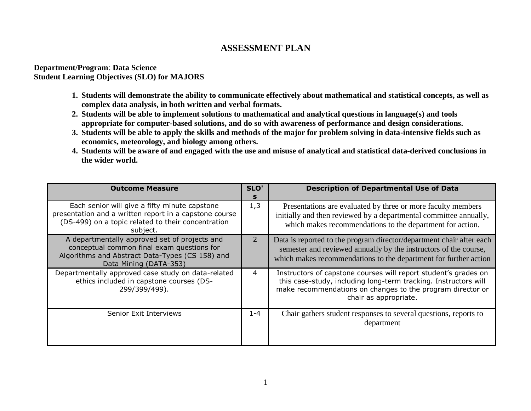## **ASSESSMENT PLAN**

**Department/Program**: **Data Science Student Learning Objectives (SLO) for MAJORS**

- **1. Students will demonstrate the ability to communicate effectively about mathematical and statistical concepts, as well as complex data analysis, in both written and verbal formats.**
- **2. Students will be able to implement solutions to mathematical and analytical questions in language(s) and tools appropriate for computer-based solutions, and do so with awareness of performance and design considerations.**
- **3. Students will be able to apply the skills and methods of the major for problem solving in data-intensive fields such as economics, meteorology, and biology among others.**
- **4. Students will be aware of and engaged with the use and misuse of analytical and statistical data-derived conclusions in the wider world.**

| <b>Outcome Measure</b>                                                                                                                                                    | SLO'<br>s      | <b>Description of Departmental Use of Data</b>                                                                                                                                                                            |  |
|---------------------------------------------------------------------------------------------------------------------------------------------------------------------------|----------------|---------------------------------------------------------------------------------------------------------------------------------------------------------------------------------------------------------------------------|--|
| Each senior will give a fifty minute capstone<br>presentation and a written report in a capstone course<br>(DS-499) on a topic related to their concentration<br>subject. | 1,3            | Presentations are evaluated by three or more faculty members<br>initially and then reviewed by a departmental committee annually,<br>which makes recommendations to the department for action.                            |  |
| A departmentally approved set of projects and<br>conceptual common final exam questions for<br>Algorithms and Abstract Data-Types (CS 158) and<br>Data Mining (DATA-353)  | $\overline{2}$ | Data is reported to the program director/department chair after each<br>semester and reviewed annually by the instructors of the course,<br>which makes recommendations to the department for further action              |  |
| Departmentally approved case study on data-related<br>ethics included in capstone courses (DS-<br>299/399/499).                                                           | 4              | Instructors of capstone courses will report student's grades on<br>this case-study, including long-term tracking. Instructors will<br>make recommendations on changes to the program director or<br>chair as appropriate. |  |
| Senior Exit Interviews                                                                                                                                                    | $1 - 4$        | Chair gathers student responses to several questions, reports to<br>department                                                                                                                                            |  |